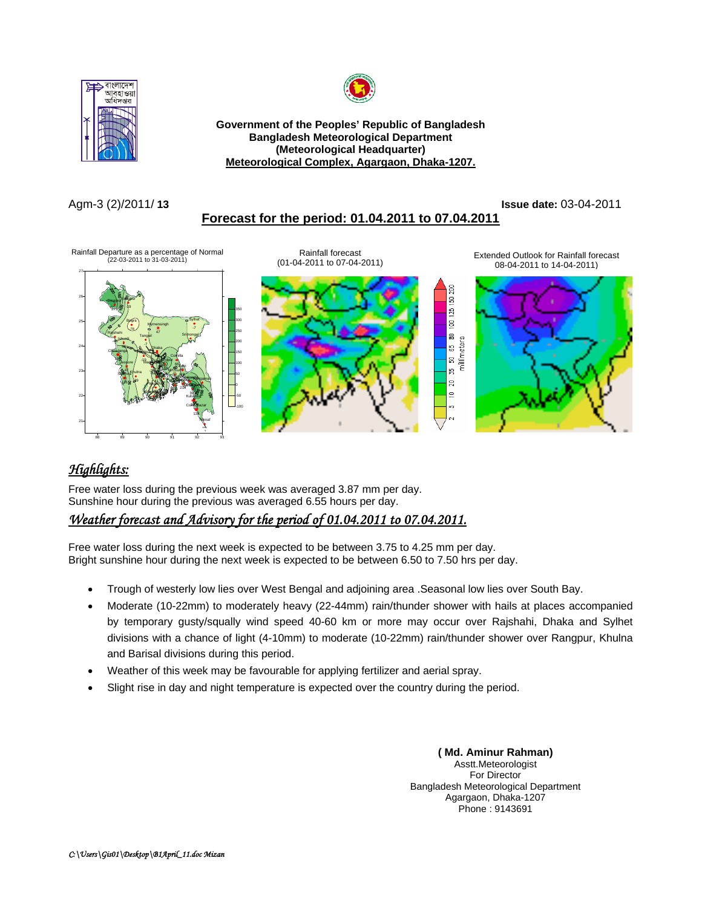



**Government of the Peoples' Republic of Bangladesh Bangladesh Meteorological Department (Meteorological Headquarter)**  <sup>U</sup>**Meteorological Complex, Agargaon, Dhaka-1207.**

## Agm-3 (2)/2011/ **13 Issue date:** 03-04-2011

<sup>U</sup>**Forecast for the period: 01.04.2011 to 07.04.2011**



# *Highlights:*

88 89 90 91 92 93

\*\*\*

Free water loss during the previous week was averaged 3.87 mm per day. Sunshine hour during the previous was averaged 6.55 hours per day.

## <sup>U</sup>*Weather forecast and Advisory for the period of 01.04.2011 to 07.04.2011.*

Free water loss during the next week is expected to be between 3.75 to 4.25 mm per day. Bright sunshine hour during the next week is expected to be between 6.50 to 7.50 hrs per day.

- Trough of westerly low lies over West Bengal and adjoining area .Seasonal low lies over South Bay.
- Moderate (10-22mm) to moderately heavy (22-44mm) rain/thunder shower with hails at places accompanied by temporary gusty/squally wind speed 40-60 km or more may occur over Rajshahi, Dhaka and Sylhet divisions with a chance of light (4-10mm) to moderate (10-22mm) rain/thunder shower over Rangpur, Khulna and Barisal divisions during this period.
- Weather of this week may be favourable for applying fertilizer and aerial spray.
- Slight rise in day and night temperature is expected over the country during the period.

**( Md. Aminur Rahman)**  Asstt.Meteorologist For Director Bangladesh Meteorological Department Agargaon, Dhaka-1207 Phone : 9143691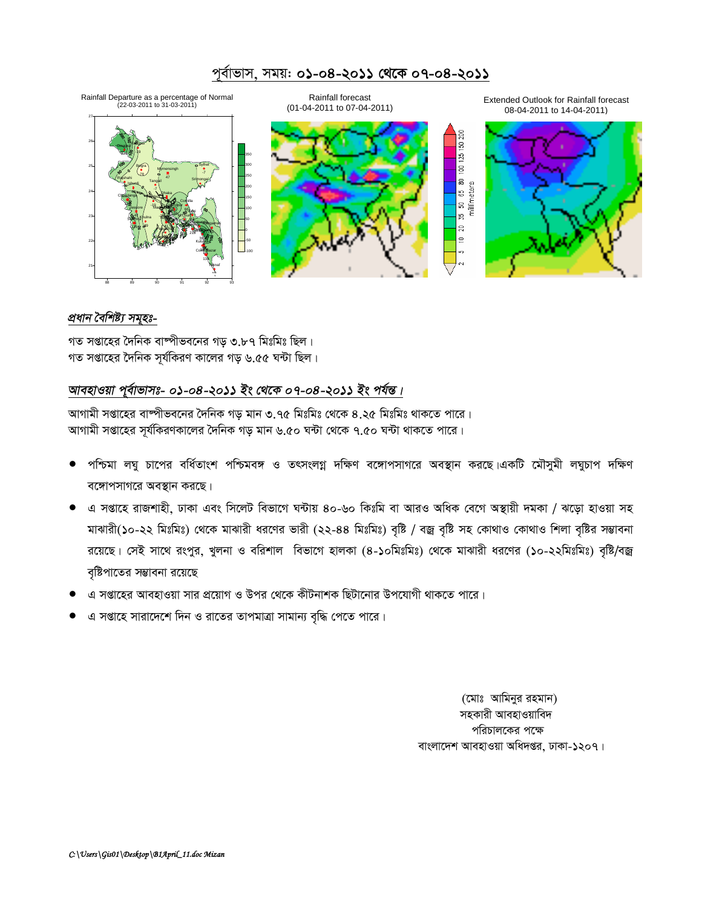

#### <u>প্ৰধান বৈশিষ্ট্য সমূহঃ-</u>

গত সপ্তাহের দৈনিক বাষ্পীভবনের গড় ৩.৮৭ মিঃমিঃ ছিল। গত সপ্তাহের দৈনিক সূর্যকিরণ কালের গড় ৬.৫৫ ঘন্টা ছিল।

### আবহাওয়া পূৰ্বাভাসঃ- ০১-০৪-২০১১ ইং থেকে ০৭-০৪-২০১১ ইং পৰ্যন্ত।

আগামী সপ্তাহের বাষ্পীভবনের দৈনিক গড় মান ৩.৭৫ মিঃমিঃ থেকে ৪.২৫ মিঃমিঃ থাকতে পারে। আগামী সপ্তাহের সূর্যকিরণকালের দৈনিক গড় মান ৬.৫০ ঘন্টা থেকে ৭.৫০ ঘন্টা থাকতে পারে।

- পশ্চিমা লঘু চাপের বর্ধিতাংশ পশ্চিমবঙ্গ ও তৎসংলগ্ন দক্ষিণ বঙ্গোপসাগরে অবস্থান করছে।একটি মৌসুমী লঘুচাপ দক্ষিণ বঙ্গোপসাগরে অবস্থান করছে।
- $\bullet$  এ সপ্তাহে রাজশাহী, ঢাকা এবং সিলেট বিভাগে ঘন্টায় ৪০-৬০ কিঃমি বা আরও অধিক বেগে অস্থায়ী দমকা / ঝড়ো হাওয়া সহ মাঝারী(১০-২২ মিঃমিঃ) থেকে মাঝারী ধরণের ভারী (২২-৪৪ মিঃমিঃ) বৃষ্টি / বজ্র বৃষ্টি সহ কোথাও কোথাও শিলা বৃষ্টির সম্ভাবনা রয়েছে। সেই সাথে রংপুর, খুলনা ও বরিশাল বিভাগে হালকা (৪-১০মিঃমিঃ) থেকে মাঝারী ধরণের (১০-২২মিঃমিঃ) বৃষ্টি/বজ্র বৃষ্টিপাতের সম্ভাবনা রয়েছে
- এ সপ্তাহের আবহাওয়া সার প্রয়োগ ও উপর থেকে কীটনাশক ছিটানোর উপযোগী থাকতে পারে।
- এ সপ্তাহে সারাদেশে দিন ও রাতের তাপমাত্রা সামান্য বৃদ্ধি পেতে পারে।

(মোঃ আমিনুর রহমান) সহকারী আবহাওয়াবিদ পরিচালকের পক্ষে বাংলাদেশ আবহাওয়া অধিদপ্তর, ঢাকা-১২০৭।